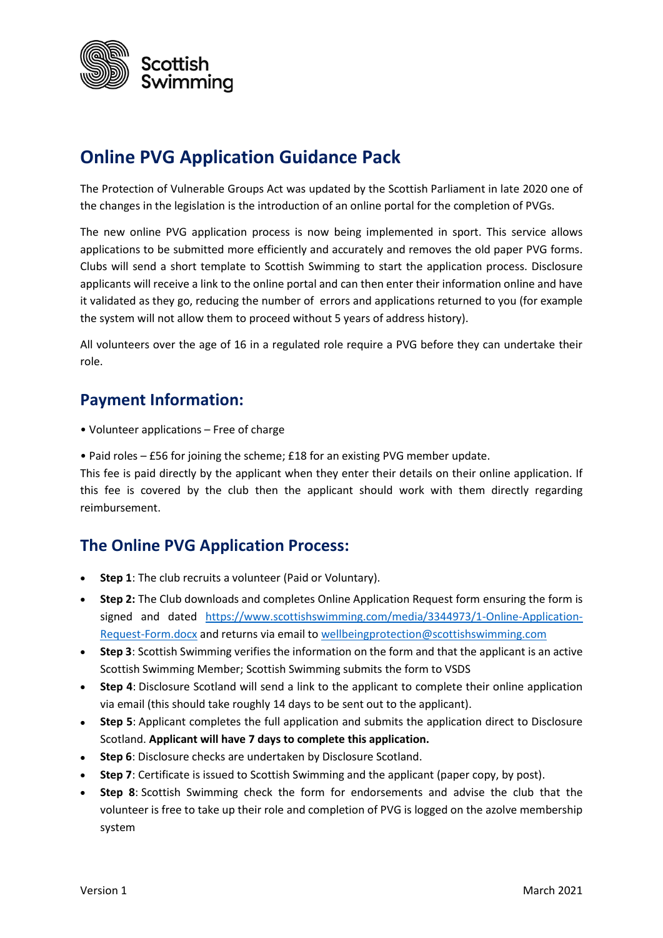

# **Online PVG Application Guidance Pack**

The Protection of Vulnerable Groups Act was updated by the Scottish Parliament in late 2020 one of the changes in the legislation is the introduction of an online portal for the completion of PVGs.

The new online PVG application process is now being implemented in sport. This service allows applications to be submitted more efficiently and accurately and removes the old paper PVG forms. Clubs will send a short template to Scottish Swimming to start the application process. Disclosure applicants will receive a link to the online portal and can then enter their information online and have it validated as they go, reducing the number of errors and applications returned to you (for example the system will not allow them to proceed without 5 years of address history).

All volunteers over the age of 16 in a regulated role require a PVG before they can undertake their role.

#### **Payment Information:**

- Volunteer applications Free of charge
- Paid roles £56 for joining the scheme; £18 for an existing PVG member update.

This fee is paid directly by the applicant when they enter their details on their online application. If this fee is covered by the club then the applicant should work with them directly regarding reimbursement.

#### **The Online PVG Application Process:**

- **Step 1**: The club recruits a volunteer (Paid or Voluntary).
- **Step 2:** The Club downloads and completes Online Application Request form ensuring the form is signed and dated [https://www.scottishswimming.com/media/3344973/1-Online-Application-](https://www.scottishswimming.com/media/3344973/1-Online-Application-Request-Form.docx)[Request-Form.docx](https://www.scottishswimming.com/media/3344973/1-Online-Application-Request-Form.docx) and returns via email to [wellbeingprotection@scottishswimming.com](mailto:wellbeingprotection@scottishswimming.com)
- **Step 3**: Scottish Swimming verifies the information on the form and that the applicant is an active Scottish Swimming Member; Scottish Swimming submits the form to VSDS
- **Step 4**: Disclosure Scotland will send a link to the applicant to complete their online application via email (this should take roughly 14 days to be sent out to the applicant).
- **Step 5**: Applicant completes the full application and submits the application direct to Disclosure Scotland. **Applicant will have 7 days to complete this application.**
- **Step 6**: Disclosure checks are undertaken by Disclosure Scotland.
- **Step 7**: Certificate is issued to Scottish Swimming and the applicant (paper copy, by post).
- **Step 8**: Scottish Swimming check the form for endorsements and advise the club that the volunteer is free to take up their role and completion of PVG is logged on the azolve membership system